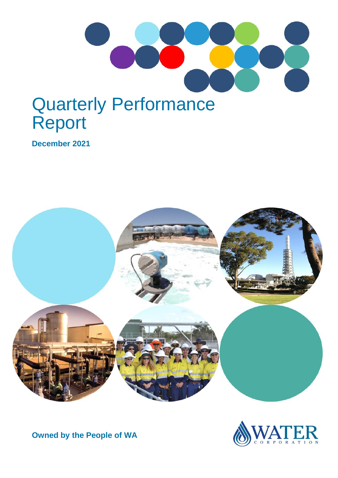

# Quarterly Performance Report

**December 2021**





**Owned by the People of WA**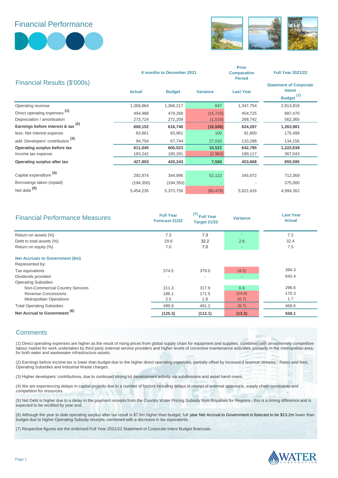### Financial Performance





|                                               | 6 months to December 2021 |               |                 | <b>Prior</b><br><b>Comparative</b><br><b>Period</b> | <b>Full Year 2021/22</b>                                                |
|-----------------------------------------------|---------------------------|---------------|-----------------|-----------------------------------------------------|-------------------------------------------------------------------------|
| Financial Results (\$'000s)                   | <b>Actual</b>             | <b>Budget</b> | <b>Variance</b> | <b>Last Year</b>                                    | <b>Statement of Corporate</b><br><b>Intent</b><br>Budget <sup>(7)</sup> |
| Operating revenue                             | 1,368,864                 | 1,368,217     | 647             | 1,347,754                                           | 2,813,816                                                               |
| Direct operating expenses <sup>(1)</sup>      | 494,988                   | 479,268       | (15, 720)       | 454,725                                             | 987,470                                                                 |
| Depreciation / amortisation                   | 273,724                   | 272,209       | (1, 516)        | 268,742                                             | 562,365                                                                 |
| Earnings before interest & tax <sup>(2)</sup> | 600,152                   | 616,740       | (16, 588)       | 624,287                                             | 1,263,981                                                               |
| less: Net interest expense                    | 83,861                    | 83,961        | 100             | 91,800                                              | 175,499                                                                 |
| add: Developers' contribution <sup>(3)</sup>  | 94,754                    | 67,744        | 27,010          | 110,298                                             | 134,156                                                                 |
| Operating surplus before tax                  | 611,045                   | 600,523       | 10,522          | 642,785                                             | 1,222,638                                                               |
| Income tax expense                            | 183,242                   | 180,281       | (2,962)         | 189,117                                             | 367,043                                                                 |
| Operating surplus after tax                   | 427,803                   | 420,243       | 7,560           | 453,668                                             | 855,595                                                                 |
| Capital expenditure <sup>(4)</sup>            | 292,874                   | 344,996       | 52,122          | 345,972                                             | 712,369                                                                 |
| Borrowings taken (repaid)                     | (194, 350)                | (194, 350)    |                 |                                                     | 375,000                                                                 |
| Net debt <sup>(5)</sup>                       | 5,454,235                 | 5,373,756     | (80, 479)       | 5,922,416                                           | 4,994,362                                                               |

| <b>Financial Performance Measures</b>    | <b>Full Year</b><br>Forecast 21/22 | (7)<br>Full Year<br><b>Target 21/22</b> | <b>Variance</b> | <b>Last Year</b><br><b>Actual</b> |
|------------------------------------------|------------------------------------|-----------------------------------------|-----------------|-----------------------------------|
| Return on assets (%)                     | 7.3                                | 7.3                                     |                 | 7.2                               |
| Debt to total assets (%)                 | 29.6                               | 32.2                                    | 2.6             | 32.4                              |
| Return on equity (%)                     | 7.0                                | 7.0                                     |                 | 7.5                               |
| <b>Net Accruals to Government (\$m)</b>  |                                    |                                         |                 |                                   |
| Represented by:                          |                                    |                                         |                 | 384.3                             |
| Tax equivalents                          | 374.5                              | 379.0                                   | (4.5)           |                                   |
| Dividends provided                       | $\overline{\phantom{0}}$           | $\overline{\phantom{0}}$                |                 | 642.4                             |
| <b>Operating Subsidies</b>               |                                    |                                         |                 |                                   |
| Non-Commercial Country Services          | 311.3                              | 317.9                                   | 6.6             | 296.6                             |
| Revenue Concessions                      | 186.1                              | 171.5                                   | (14.6)          | 170.3                             |
| <b>Metropolitan Operations</b>           | 2.5                                | 1.8                                     | (0.7)           | 1.7                               |
| <b>Total Operating Subsidies</b>         | 499.9                              | 491.2                                   | (8.7)           | 468.6                             |
| Net Accrual to Government <sup>(6)</sup> | (125.3)                            | (112.1)                                 | (13.2)          | 558.1                             |

#### **Comments**

(1) Direct operating expenses are higher as the result of rising prices from global supply chain for equipment and supplies, combined with an extremely competitive labour market for work undertaken by third party external service providers and higher levels of corrective maintenance activities, primarily in the metropolitan area, for both water and wastewater infrastructure assets.

(2) Earnings before income tax is lower than budget due to the higher direct operating expenses, partially offset by increased revenue streams - Rates and fees, Operating Subsidies and Industrial Waste charges.

(3) Higher developers' contributions, due to continued strong lot development activity via subdivisions and asset hand-overs.

(4) We are experiencing delays in capital projects due to a number of factors including delays in receipt of external approvals, supply chain constraints and competition for resources.

(5) Net Debt is higher due to a delay in the payment receipts from the Country Water Pricing Subsidy from Royalties for Regions - this is a timing difference and is expected to be rectified by year end.

(6) Although the year to date operating surplus after tax result is \$7.6m higher than budget, full year Net Accrual to Government is forecast to be \$13.2m lower than budget due to higher Operating Subsidy receipts, combined with a decrease in tax equivalents.

(7) Respective figures are the endorsed Full Year 2021/22 Statement of Corporate Intent Budget financials.

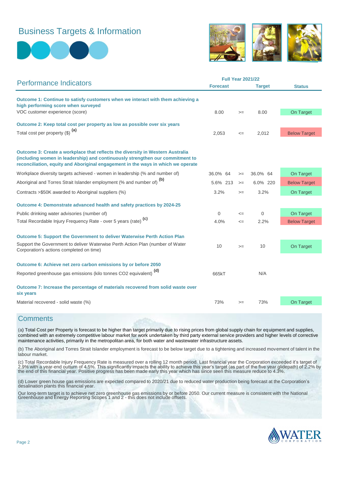## Business Targets & Information





|                                                                                                                                                                                                                                                     | <b>Full Year 2021/22</b> |        |               |                     |
|-----------------------------------------------------------------------------------------------------------------------------------------------------------------------------------------------------------------------------------------------------|--------------------------|--------|---------------|---------------------|
| <b>Performance Indicators</b>                                                                                                                                                                                                                       | <b>Forecast</b>          |        | <b>Target</b> | <b>Status</b>       |
| Outcome 1: Continue to satisfy customers when we interact with them achieving a<br>high performing score when surveyed                                                                                                                              |                          |        |               |                     |
| VOC customer experience (score)                                                                                                                                                                                                                     | 8.00                     | $>=$   | 8.00          | On Target           |
| Outcome 2: Keep total cost per property as low as possible over six years                                                                                                                                                                           |                          |        |               |                     |
| Total cost per property (\$) (a)                                                                                                                                                                                                                    | 2,053                    | $\leq$ | 2,012         | <b>Below Target</b> |
|                                                                                                                                                                                                                                                     |                          |        |               |                     |
| Outcome 3: Create a workplace that reflects the diversity in Western Australia<br>(including women in leadership) and continuously strengthen our commitment to<br>reconciliation, equity and Aboriginal engagement in the ways in which we operate |                          |        |               |                     |
| Workplace diversity targets achieved - women in leadership (% and number of)                                                                                                                                                                        | 36.0% 64                 | $>=$   | 36.0% 64      | On Target           |
| Aboriginal and Torres Strait Islander employment (% and number of) <sup>(b)</sup>                                                                                                                                                                   | 5.6% 213                 | $>=$   | 6.0% 220      | <b>Below Target</b> |
| Contracts >\$50K awarded to Aboriginal suppliers (%)                                                                                                                                                                                                | 3.2%                     | $>=$   | 3.2%          | On Target           |
| Outcome 4: Demonstrate advanced health and safety practices by 2024-25                                                                                                                                                                              |                          |        |               |                     |
| Public drinking water advisories (number of)                                                                                                                                                                                                        | $\Omega$                 | $\leq$ | $\mathbf 0$   | On Target           |
| Total Recordable Injury Frequency Rate - over 5 years (rate) <sup>(c)</sup>                                                                                                                                                                         | 4.0%                     | $\leq$ | 2.2%          | <b>Below Target</b> |
| Outcome 5: Support the Government to deliver Waterwise Perth Action Plan                                                                                                                                                                            |                          |        |               |                     |
| Support the Government to deliver Waterwise Perth Action Plan (number of Water<br>Corporation's actions completed on time)                                                                                                                          | 10                       | $>=$   | 10            | On Target           |
| Outcome 6: Achieve net zero carbon emissions by or before 2050                                                                                                                                                                                      |                          |        |               |                     |
| Reported greenhouse gas emissions (kilo tonnes CO2 equivalent) <sup>(d)</sup>                                                                                                                                                                       | 665kT                    |        | N/A           |                     |
| Outcome 7: Increase the percentage of materials recovered from solid waste over<br>six years                                                                                                                                                        |                          |        |               |                     |
| Material recovered - solid waste (%)                                                                                                                                                                                                                | 73%                      | $>=$   | 73%           | On Target           |

#### **Comments**

(a) Total Cost per Property is forecast to be higher than target primarily due to rising prices from global supply chain for equipment and supplies, combined with an extremely competitive labour market for work undertaken by third party external service providers and higher levels of corrective maintenance activities, primarily in the metropolitan area, for both water and wastewater infrastructure assets.

(b) The Aboriginal and Torres Strait Islander employment is forecast to be below target due to a tightening and increased movement of talent in the labour market.

(c) Total Recordable Injury Frequency Rate is measured over a rolling 12 month period. Last financial year the Corporation exceeded it's target of 2.9% with a year-end outturn of 4.5%. This significantly impacts the ability to achieve this year's target (as part of the five year glidepath) of 2.2% by the end of this financial year. Positive progress has been made early this year which has since seen this measure reduce to 4.3%.

(d) Lower green house gas emissions are expected compared to 2020/21 due to reduced water production being forecast at the Corporation's desalination plants this financial year.

Our long-term target is to achieve net zero greenhouse gas emissions by or before 2050. Our current measure is consistent with the National Greenhouse and Energy Reporting Scopes 1 and 2 - this does not include offsets.